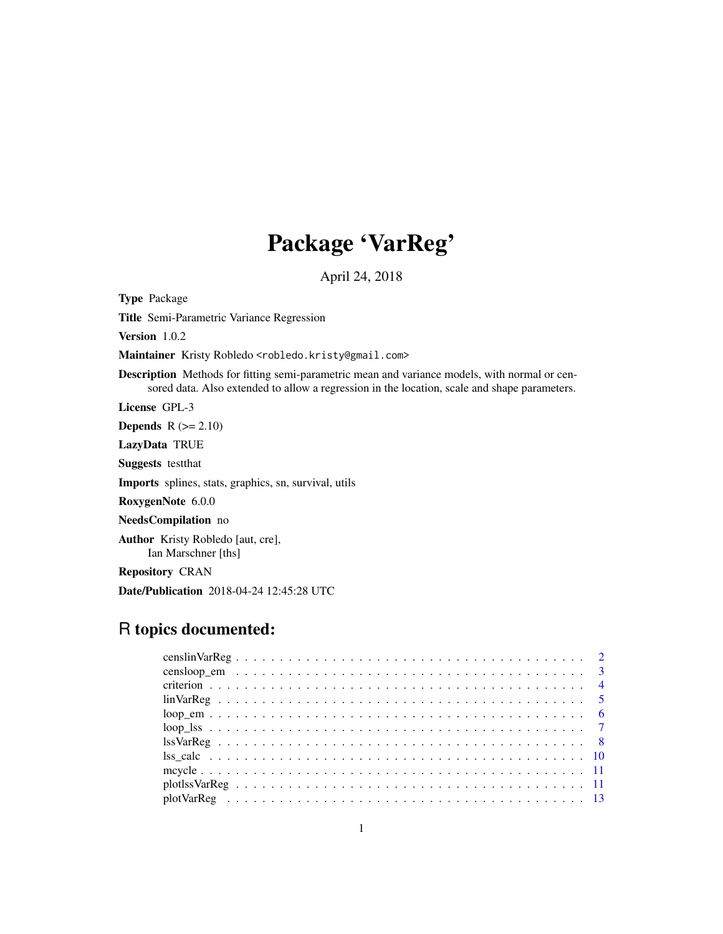# Package 'VarReg'

April 24, 2018

<span id="page-0-0"></span>Type Package

Title Semi-Parametric Variance Regression

Version 1.0.2

Maintainer Kristy Robledo <robledo.kristy@gmail.com>

Description Methods for fitting semi-parametric mean and variance models, with normal or censored data. Also extended to allow a regression in the location, scale and shape parameters.

License GPL-3

**Depends**  $R$  ( $>= 2.10$ )

LazyData TRUE

Suggests testthat

Imports splines, stats, graphics, sn, survival, utils

RoxygenNote 6.0.0

NeedsCompilation no

Author Kristy Robledo [aut, cre], Ian Marschner [ths]

Repository CRAN

Date/Publication 2018-04-24 12:45:28 UTC

# R topics documented:

| $loop\_em$ 6 |
|--------------|
|              |
|              |
|              |
|              |
|              |
|              |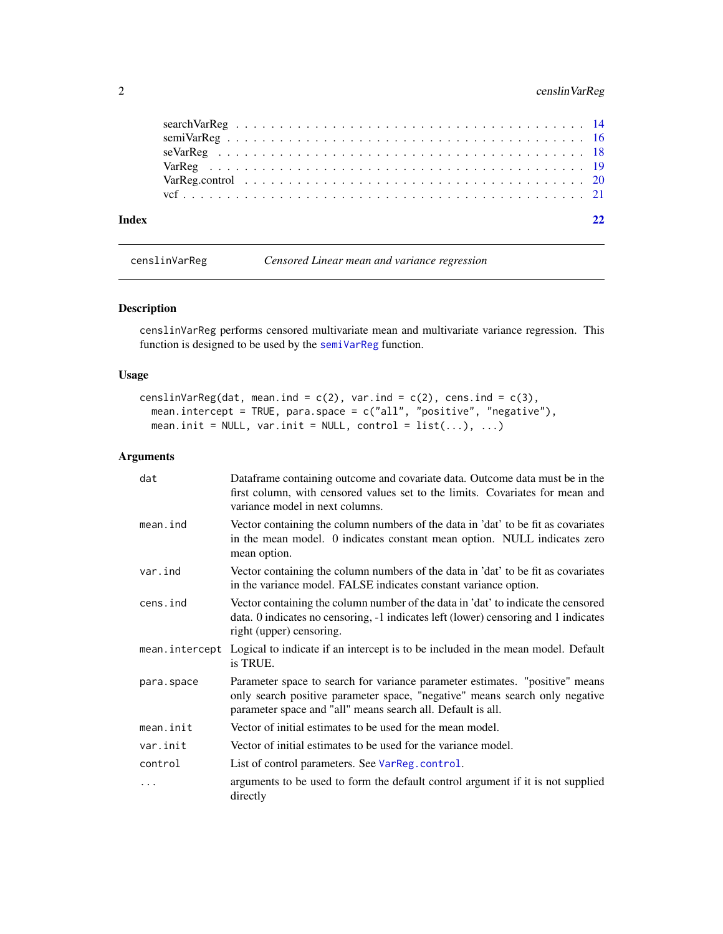# <span id="page-1-0"></span>2 censlinVarReg

| Index |  |
|-------|--|
|       |  |
|       |  |
|       |  |
|       |  |
|       |  |
|       |  |

censlinVarReg *Censored Linear mean and variance regression*

# Description

censlinVarReg performs censored multivariate mean and multivariate variance regression. This function is designed to be used by the [semiVarReg](#page-15-1) function.

# Usage

```
censlinVarReg(dat, mean.ind = c(2), var.ind = c(2), cens.ind = c(3),
 mean.intercept = TRUE, para.space = c("all", "positive", "negative"),
 mean.init = NULL, var.init = NULL, control = list(...), ...)
```

| dat        | Dataframe containing outcome and covariate data. Outcome data must be in the<br>first column, with censored values set to the limits. Covariates for mean and<br>variance model in next columns.                           |
|------------|----------------------------------------------------------------------------------------------------------------------------------------------------------------------------------------------------------------------------|
| mean.ind   | Vector containing the column numbers of the data in 'dat' to be fit as covariates<br>in the mean model. 0 indicates constant mean option. NULL indicates zero<br>mean option.                                              |
| var.ind    | Vector containing the column numbers of the data in 'dat' to be fit as covariates<br>in the variance model. FALSE indicates constant variance option.                                                                      |
| cens.ind   | Vector containing the column number of the data in 'dat' to indicate the censored<br>data. 0 indicates no censoring, -1 indicates left (lower) censoring and 1 indicates<br>right (upper) censoring.                       |
|            | mean. intercept Logical to indicate if an intercept is to be included in the mean model. Default<br>is TRUE.                                                                                                               |
| para.space | Parameter space to search for variance parameter estimates. "positive" means<br>only search positive parameter space, "negative" means search only negative<br>parameter space and "all" means search all. Default is all. |
| mean.init  | Vector of initial estimates to be used for the mean model.                                                                                                                                                                 |
| var.init   | Vector of initial estimates to be used for the variance model.                                                                                                                                                             |
| control    | List of control parameters. See VarReg. control.                                                                                                                                                                           |
| .          | arguments to be used to form the default control argument if it is not supplied<br>directly                                                                                                                                |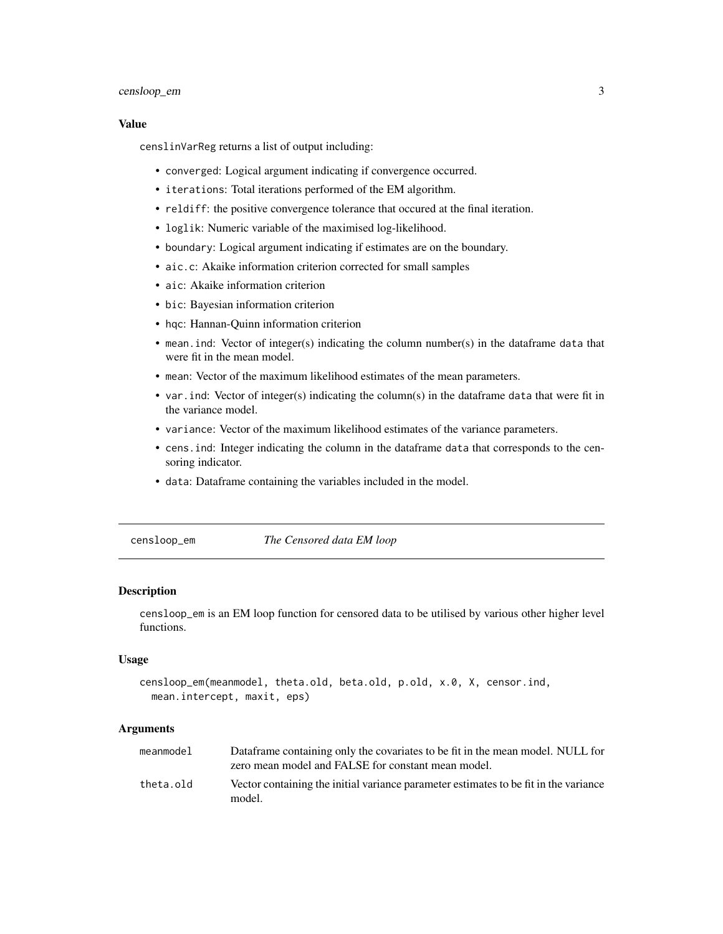# <span id="page-2-0"></span>censloop\_em 3

# Value

censlinVarReg returns a list of output including:

- converged: Logical argument indicating if convergence occurred.
- iterations: Total iterations performed of the EM algorithm.
- reldiff: the positive convergence tolerance that occured at the final iteration.
- loglik: Numeric variable of the maximised log-likelihood.
- boundary: Logical argument indicating if estimates are on the boundary.
- aic.c: Akaike information criterion corrected for small samples
- aic: Akaike information criterion
- bic: Bayesian information criterion
- hqc: Hannan-Quinn information criterion
- mean.ind: Vector of integer(s) indicating the column number(s) in the dataframe data that were fit in the mean model.
- mean: Vector of the maximum likelihood estimates of the mean parameters.
- var.ind: Vector of integer(s) indicating the column(s) in the dataframe data that were fit in the variance model.
- variance: Vector of the maximum likelihood estimates of the variance parameters.
- cens.ind: Integer indicating the column in the dataframe data that corresponds to the censoring indicator.
- data: Dataframe containing the variables included in the model.

censloop\_em *The Censored data EM loop*

#### Description

censloop\_em is an EM loop function for censored data to be utilised by various other higher level functions.

# Usage

```
censloop_em(meanmodel, theta.old, beta.old, p.old, x.0, X, censor.ind,
 mean.intercept, maxit, eps)
```

| meanmodel | Data frame containing only the covariates to be fit in the mean model. NULL for                |
|-----------|------------------------------------------------------------------------------------------------|
|           | zero mean model and FALSE for constant mean model.                                             |
| theta.old | Vector containing the initial variance parameter estimates to be fit in the variance<br>model. |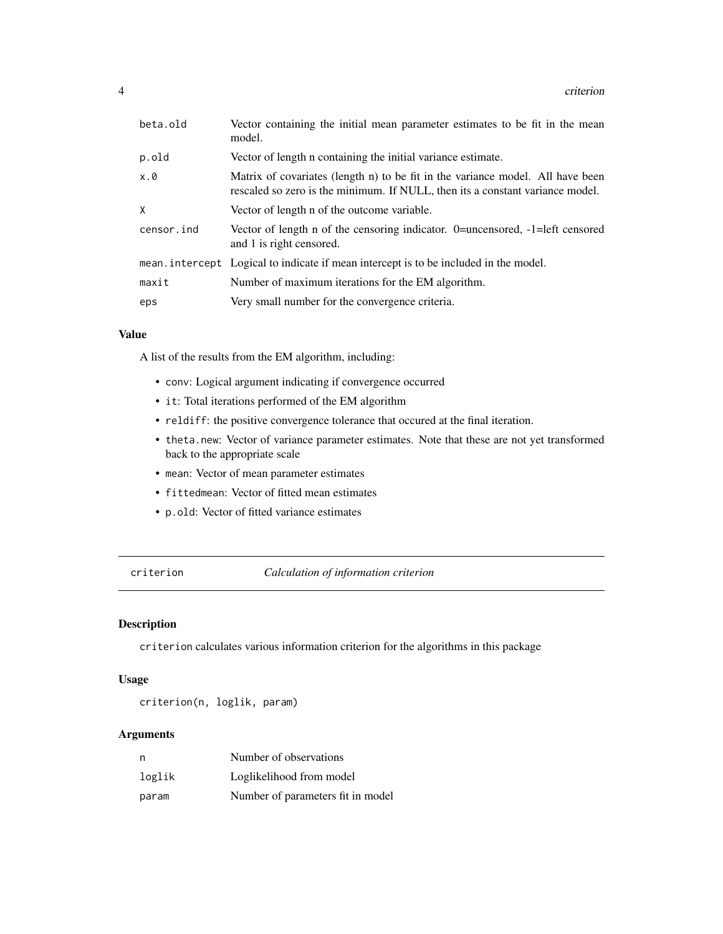<span id="page-3-0"></span>

| beta.old   | Vector containing the initial mean parameter estimates to be fit in the mean<br>model.                                                                          |
|------------|-----------------------------------------------------------------------------------------------------------------------------------------------------------------|
| p.old      | Vector of length n containing the initial variance estimate.                                                                                                    |
| x.0        | Matrix of covariates (length n) to be fit in the variance model. All have been<br>rescaled so zero is the minimum. If NULL, then its a constant variance model. |
| X          | Vector of length n of the outcome variable.                                                                                                                     |
| censor.ind | Vector of length n of the censoring indicator. 0=uncensored, $-1$ =left censored<br>and 1 is right censored.                                                    |
|            | mean. intercept Logical to indicate if mean intercept is to be included in the model.                                                                           |
| maxit      | Number of maximum iterations for the EM algorithm.                                                                                                              |
| eps        | Very small number for the convergence criteria.                                                                                                                 |

# Value

A list of the results from the EM algorithm, including:

- conv: Logical argument indicating if convergence occurred
- it: Total iterations performed of the EM algorithm
- reldiff: the positive convergence tolerance that occured at the final iteration.
- theta.new: Vector of variance parameter estimates. Note that these are not yet transformed back to the appropriate scale
- mean: Vector of mean parameter estimates
- fittedmean: Vector of fitted mean estimates
- p.old: Vector of fitted variance estimates

criterion *Calculation of information criterion*

# Description

criterion calculates various information criterion for the algorithms in this package

# Usage

criterion(n, loglik, param)

| n      | Number of observations            |
|--------|-----------------------------------|
| loglik | Loglikelihood from model          |
| param  | Number of parameters fit in model |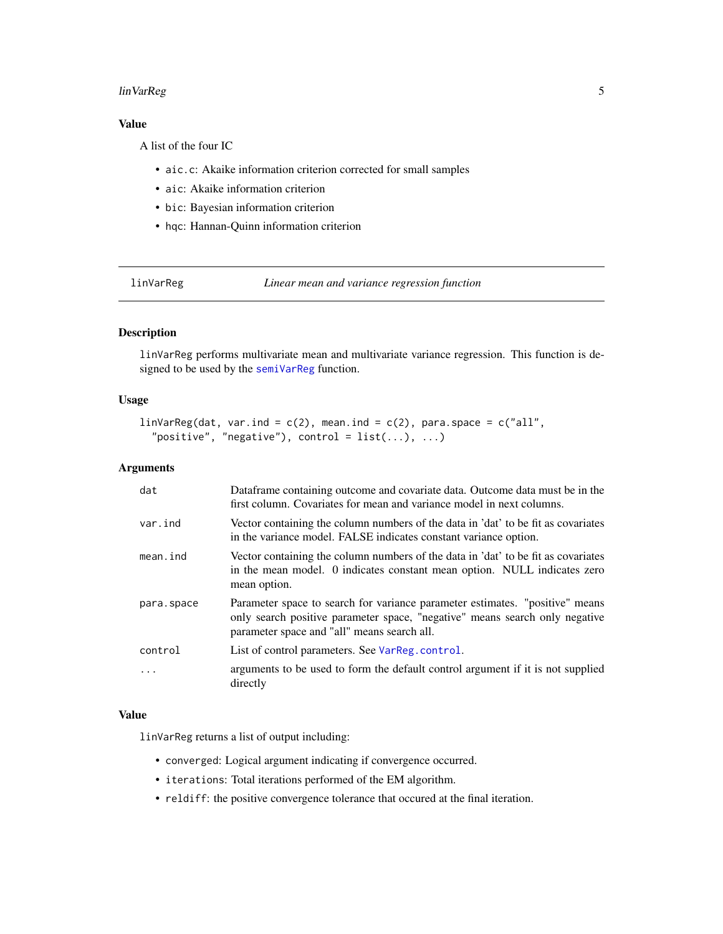#### <span id="page-4-0"></span>linVarReg 5

# Value

A list of the four IC

- aic.c: Akaike information criterion corrected for small samples
- aic: Akaike information criterion
- bic: Bayesian information criterion
- hqc: Hannan-Quinn information criterion

linVarReg *Linear mean and variance regression function*

# Description

linVarReg performs multivariate mean and multivariate variance regression. This function is designed to be used by the [semiVarReg](#page-15-1) function.

# Usage

```
linVarReg(dat, var.ind = c(2), mean.ind = c(2), para.space = c("all","positive", "negative"), control = list(...), ...)
```
# Arguments

| dat        | Dataframe containing outcome and covariate data. Outcome data must be in the<br>first column. Covariates for mean and variance model in next columns.                                                      |
|------------|------------------------------------------------------------------------------------------------------------------------------------------------------------------------------------------------------------|
| var.ind    | Vector containing the column numbers of the data in 'dat' to be fit as covariates<br>in the variance model. FALSE indicates constant variance option.                                                      |
| mean.ind   | Vector containing the column numbers of the data in 'dat' to be fit as covariates<br>in the mean model. 0 indicates constant mean option. NULL indicates zero<br>mean option.                              |
| para.space | Parameter space to search for variance parameter estimates. "positive" means<br>only search positive parameter space, "negative" means search only negative<br>parameter space and "all" means search all. |
| control    | List of control parameters. See VarReg. control.                                                                                                                                                           |
|            | arguments to be used to form the default control argument if it is not supplied<br>directly                                                                                                                |

#### Value

linVarReg returns a list of output including:

- converged: Logical argument indicating if convergence occurred.
- iterations: Total iterations performed of the EM algorithm.
- reldiff: the positive convergence tolerance that occured at the final iteration.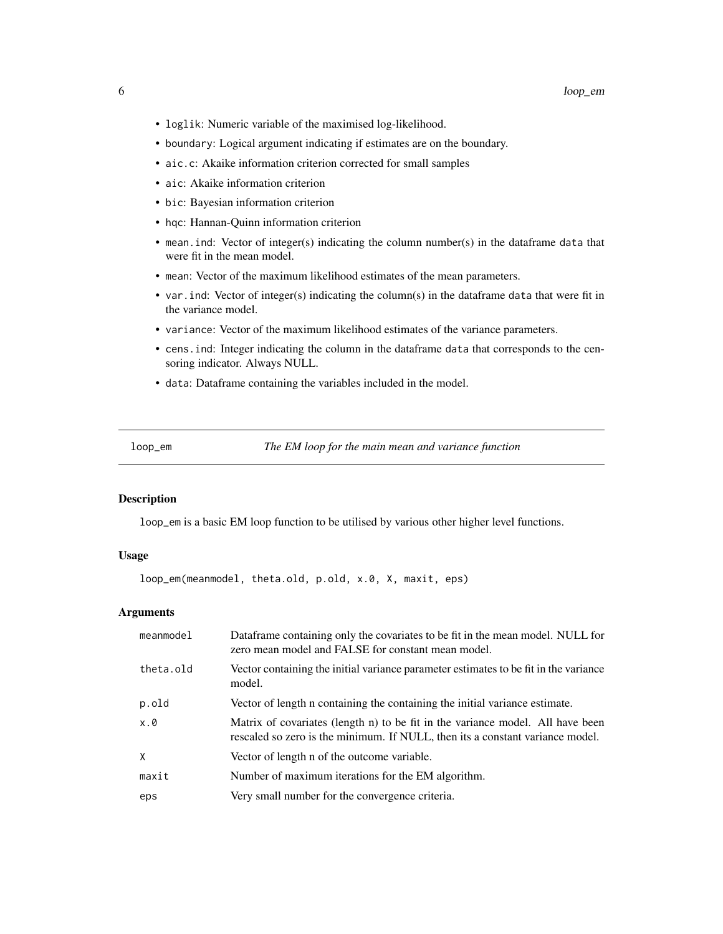- <span id="page-5-0"></span>• loglik: Numeric variable of the maximised log-likelihood.
- boundary: Logical argument indicating if estimates are on the boundary.
- aic.c: Akaike information criterion corrected for small samples
- aic: Akaike information criterion
- bic: Bayesian information criterion
- hqc: Hannan-Quinn information criterion
- mean.ind: Vector of integer(s) indicating the column number(s) in the dataframe data that were fit in the mean model.
- mean: Vector of the maximum likelihood estimates of the mean parameters.
- var.ind: Vector of integer(s) indicating the column(s) in the dataframe data that were fit in the variance model.
- variance: Vector of the maximum likelihood estimates of the variance parameters.
- cens.ind: Integer indicating the column in the dataframe data that corresponds to the censoring indicator. Always NULL.
- data: Dataframe containing the variables included in the model.

loop\_em *The EM loop for the main mean and variance function*

# Description

loop\_em is a basic EM loop function to be utilised by various other higher level functions.

# Usage

```
loop_em(meanmodel, theta.old, p.old, x.0, X, maxit, eps)
```

| meannode1    | Dataframe containing only the covariates to be fit in the mean model. NULL for<br>zero mean model and FALSE for constant mean model.                            |
|--------------|-----------------------------------------------------------------------------------------------------------------------------------------------------------------|
| theta.old    | Vector containing the initial variance parameter estimates to be fit in the variance<br>model.                                                                  |
| p.old        | Vector of length n containing the containing the initial variance estimate.                                                                                     |
| x.0          | Matrix of covariates (length n) to be fit in the variance model. All have been<br>rescaled so zero is the minimum. If NULL, then its a constant variance model. |
| $\mathsf{X}$ | Vector of length n of the outcome variable.                                                                                                                     |
| maxit        | Number of maximum iterations for the EM algorithm.                                                                                                              |
| eps          | Very small number for the convergence criteria.                                                                                                                 |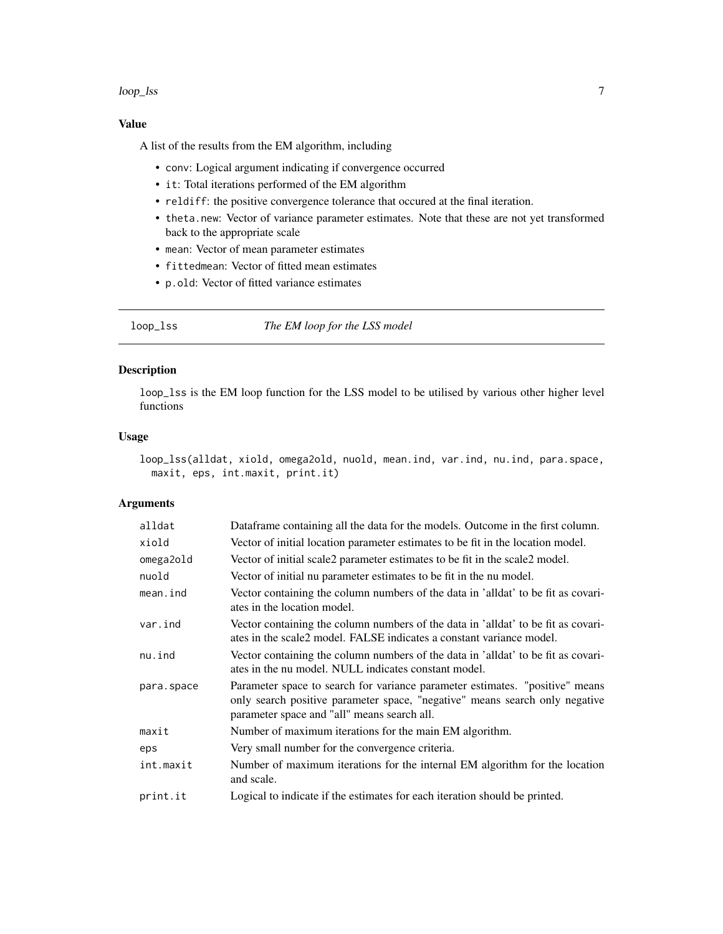#### <span id="page-6-0"></span>loop\_lss 7

# Value

A list of the results from the EM algorithm, including

- conv: Logical argument indicating if convergence occurred
- it: Total iterations performed of the EM algorithm
- reldiff: the positive convergence tolerance that occured at the final iteration.
- theta.new: Vector of variance parameter estimates. Note that these are not yet transformed back to the appropriate scale
- mean: Vector of mean parameter estimates
- fittedmean: Vector of fitted mean estimates
- p.old: Vector of fitted variance estimates

loop\_lss *The EM loop for the LSS model*

# Description

loop\_lss is the EM loop function for the LSS model to be utilised by various other higher level functions

# Usage

```
loop_lss(alldat, xiold, omega2old, nuold, mean.ind, var.ind, nu.ind, para.space,
 maxit, eps, int.maxit, print.it)
```

| alldat     | Dataframe containing all the data for the models. Outcome in the first column.                                                                                                                             |
|------------|------------------------------------------------------------------------------------------------------------------------------------------------------------------------------------------------------------|
| xiold      | Vector of initial location parameter estimates to be fit in the location model.                                                                                                                            |
| omega2old  | Vector of initial scale2 parameter estimates to be fit in the scale2 model.                                                                                                                                |
| nuold      | Vector of initial nu parameter estimates to be fit in the nu model.                                                                                                                                        |
| mean.ind   | Vector containing the column numbers of the data in 'alldat' to be fit as covari-<br>ates in the location model.                                                                                           |
| var.ind    | Vector containing the column numbers of the data in 'alldat' to be fit as covari-<br>ates in the scale2 model. FALSE indicates a constant variance model.                                                  |
| nu.ind     | Vector containing the column numbers of the data in 'alldat' to be fit as covari-<br>ates in the nu model. NULL indicates constant model.                                                                  |
| para.space | Parameter space to search for variance parameter estimates. "positive" means<br>only search positive parameter space, "negative" means search only negative<br>parameter space and "all" means search all. |
| maxit      | Number of maximum iterations for the main EM algorithm.                                                                                                                                                    |
| eps        | Very small number for the convergence criteria.                                                                                                                                                            |
| int.maxit  | Number of maximum iterations for the internal EM algorithm for the location<br>and scale.                                                                                                                  |
| print.it   | Logical to indicate if the estimates for each iteration should be printed.                                                                                                                                 |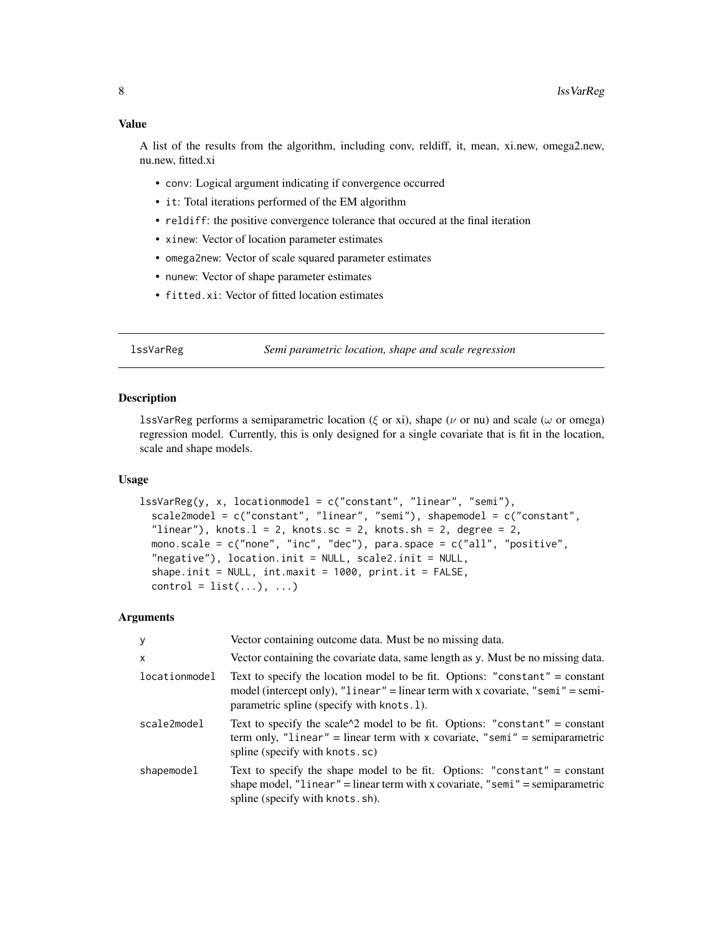<span id="page-7-0"></span>A list of the results from the algorithm, including conv, reldiff, it, mean, xi.new, omega2.new, nu.new, fitted.xi

- conv: Logical argument indicating if convergence occurred
- it: Total iterations performed of the EM algorithm
- reldiff: the positive convergence tolerance that occured at the final iteration
- xinew: Vector of location parameter estimates
- omega2new: Vector of scale squared parameter estimates
- nunew: Vector of shape parameter estimates
- fitted.xi: Vector of fitted location estimates

<span id="page-7-1"></span>lssVarReg *Semi parametric location, shape and scale regression*

#### **Description**

lssVarReg performs a semiparametric location (ξ or xi), shape ( $\nu$  or nu) and scale ( $\omega$  or omega) regression model. Currently, this is only designed for a single covariate that is fit in the location, scale and shape models.

# Usage

```
lssVarReg(y, x, locationmodel = c("constant", "linear", "semi"),
 scale2model = c("constant", "linear", "semi"), shapemodel = c("constant",
  "linear"), knots.l = 2, knots.sc = 2, knots.sh = 2, degree = 2,
 mono.scale = c("none", "inc", "dec"), para.space = c("all", "positive",
  "negative"), location.init = NULL, scale2.init = NULL,
  shape.init = NULL, int.maxit = 1000, print.it = FALSE,
  control = list(...), ...
```

| y             | Vector containing outcome data. Must be no missing data.                                                                                                                                                      |
|---------------|---------------------------------------------------------------------------------------------------------------------------------------------------------------------------------------------------------------|
| $\times$      | Vector containing the covariate data, same length as y. Must be no missing data.                                                                                                                              |
| locationmodel | Text to specify the location model to be fit. Options: "constant" = constant<br>model (intercept only), "linear" = linear term with x covariate, "semi" = semi-<br>parametric spline (specify with knots. 1). |
| scale2model   | Text to specify the scale $\alpha$ model to be fit. Options: "constant" = constant"<br>term only, "linear" = linear term with x covariate, "semi" = semiparametric<br>spline (specify with knots.sc)          |
| shapemodel    | Text to specify the shape model to be fit. Options: "constant" = constant<br>shape model, "linear" = linear term with x covariate, "semi" = semiparametric<br>spline (specify with knots . sh).               |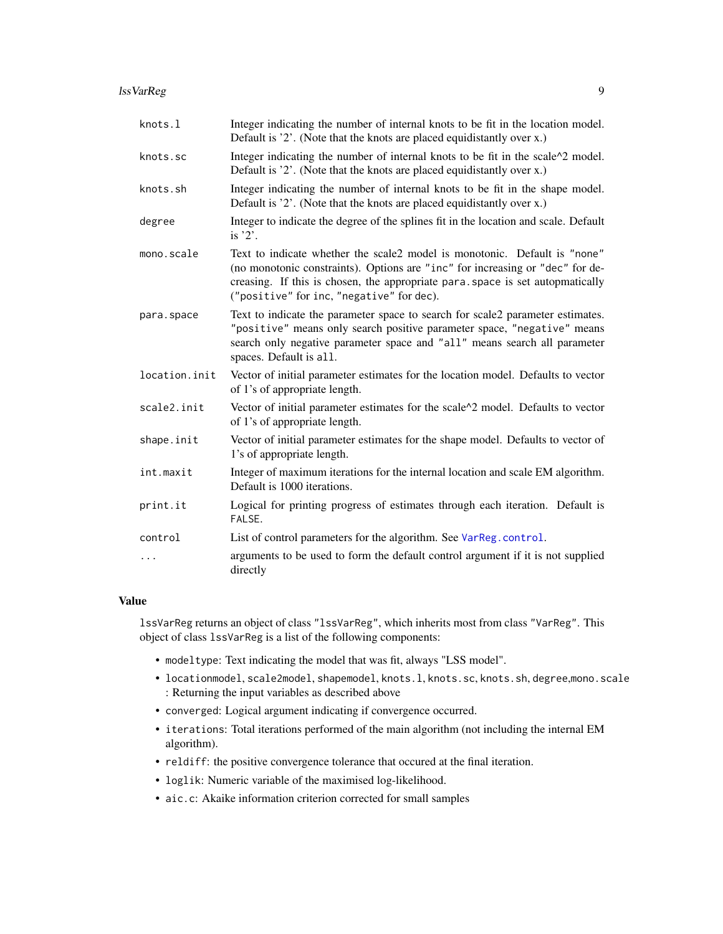#### <span id="page-8-0"></span>lssVarReg 9

| knots.l       | Integer indicating the number of internal knots to be fit in the location model.<br>Default is '2'. (Note that the knots are placed equidistantly over x.)                                                                                                                                |
|---------------|-------------------------------------------------------------------------------------------------------------------------------------------------------------------------------------------------------------------------------------------------------------------------------------------|
| knots.sc      | Integer indicating the number of internal knots to be fit in the scale <sup><math>\wedge</math>2 model.</sup><br>Default is '2'. (Note that the knots are placed equidistantly over x.)                                                                                                   |
| knots.sh      | Integer indicating the number of internal knots to be fit in the shape model.<br>Default is '2'. (Note that the knots are placed equidistantly over x.)                                                                                                                                   |
| degree        | Integer to indicate the degree of the splines fit in the location and scale. Default<br>is $2$ .                                                                                                                                                                                          |
| mono.scale    | Text to indicate whether the scale2 model is monotonic. Default is "none"<br>(no monotonic constraints). Options are "inc" for increasing or "dec" for de-<br>creasing. If this is chosen, the appropriate para. space is set autopmatically<br>("positive" for inc, "negative" for dec). |
| para.space    | Text to indicate the parameter space to search for scale2 parameter estimates.<br>"positive" means only search positive parameter space, "negative" means<br>search only negative parameter space and "all" means search all parameter<br>spaces. Default is all.                         |
| location.init | Vector of initial parameter estimates for the location model. Defaults to vector<br>of 1's of appropriate length.                                                                                                                                                                         |
| scale2.init   | Vector of initial parameter estimates for the scale^2 model. Defaults to vector<br>of 1's of appropriate length.                                                                                                                                                                          |
| shape.init    | Vector of initial parameter estimates for the shape model. Defaults to vector of<br>1's of appropriate length.                                                                                                                                                                            |
| int.maxit     | Integer of maximum iterations for the internal location and scale EM algorithm.<br>Default is 1000 iterations.                                                                                                                                                                            |
| print.it      | Logical for printing progress of estimates through each iteration. Default is<br>FALSE.                                                                                                                                                                                                   |
| control       | List of control parameters for the algorithm. See VarReg.control.                                                                                                                                                                                                                         |
| $\ddots$      | arguments to be used to form the default control argument if it is not supplied<br>directly                                                                                                                                                                                               |

# Value

lssVarReg returns an object of class "lssVarReg", which inherits most from class "VarReg". This object of class lssVarReg is a list of the following components:

- modeltype: Text indicating the model that was fit, always "LSS model".
- locationmodel, scale2model, shapemodel, knots.l, knots.sc, knots.sh, degree,mono.scale : Returning the input variables as described above
- converged: Logical argument indicating if convergence occurred.
- iterations: Total iterations performed of the main algorithm (not including the internal EM algorithm).
- reldiff: the positive convergence tolerance that occured at the final iteration.
- loglik: Numeric variable of the maximised log-likelihood.
- aic.c: Akaike information criterion corrected for small samples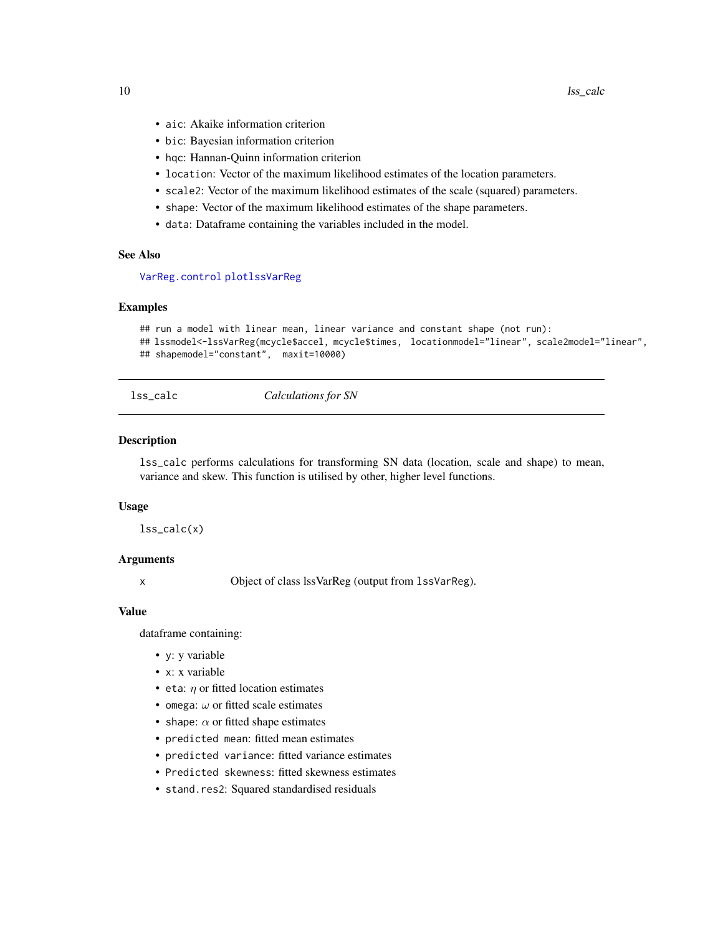- <span id="page-9-0"></span>• aic: Akaike information criterion
- bic: Bayesian information criterion
- hqc: Hannan-Quinn information criterion
- location: Vector of the maximum likelihood estimates of the location parameters.
- scale2: Vector of the maximum likelihood estimates of the scale (squared) parameters.
- shape: Vector of the maximum likelihood estimates of the shape parameters.
- data: Dataframe containing the variables included in the model.

#### See Also

#### [VarReg.control](#page-19-1) [plotlssVarReg](#page-10-1)

#### Examples

```
## run a model with linear mean, linear variance and constant shape (not run):
## lssmodel<-lssVarReg(mcycle$accel, mcycle$times, locationmodel="linear", scale2model="linear",
## shapemodel="constant", maxit=10000)
```
lss\_calc *Calculations for SN*

# Description

lss\_calc performs calculations for transforming SN data (location, scale and shape) to mean, variance and skew. This function is utilised by other, higher level functions.

# Usage

lss\_calc(x)

# Arguments

x Object of class lssVarReg (output from lssVarReg).

# Value

dataframe containing:

- y: y variable
- x: x variable
- eta:  $\eta$  or fitted location estimates
- omega:  $\omega$  or fitted scale estimates
- shape:  $\alpha$  or fitted shape estimates
- predicted mean: fitted mean estimates
- predicted variance: fitted variance estimates
- Predicted skewness: fitted skewness estimates
- stand.res2: Squared standardised residuals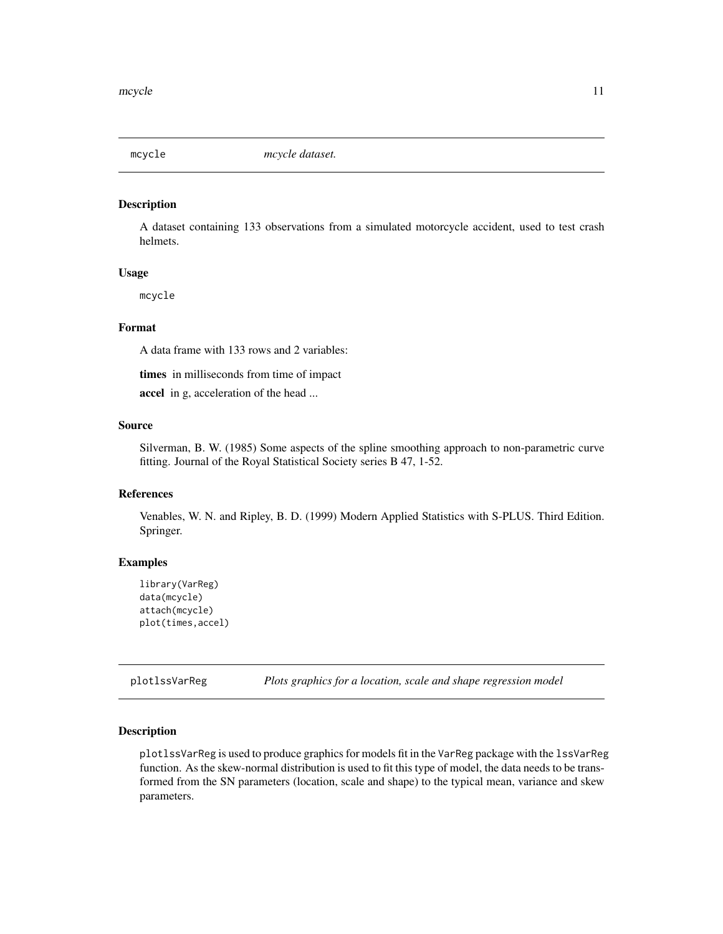<span id="page-10-0"></span>

# Description

A dataset containing 133 observations from a simulated motorcycle accident, used to test crash helmets.

# Usage

mcycle

# Format

A data frame with 133 rows and 2 variables:

times in milliseconds from time of impact

accel in g, acceleration of the head ...

# Source

Silverman, B. W. (1985) Some aspects of the spline smoothing approach to non-parametric curve fitting. Journal of the Royal Statistical Society series B 47, 1-52.

# References

Venables, W. N. and Ripley, B. D. (1999) Modern Applied Statistics with S-PLUS. Third Edition. Springer.

# Examples

```
library(VarReg)
data(mcycle)
attach(mcycle)
plot(times,accel)
```
<span id="page-10-1"></span>plotlssVarReg *Plots graphics for a location, scale and shape regression model*

#### Description

plotlssVarReg is used to produce graphics for models fit in the VarReg package with the lssVarReg function. As the skew-normal distribution is used to fit this type of model, the data needs to be transformed from the SN parameters (location, scale and shape) to the typical mean, variance and skew parameters.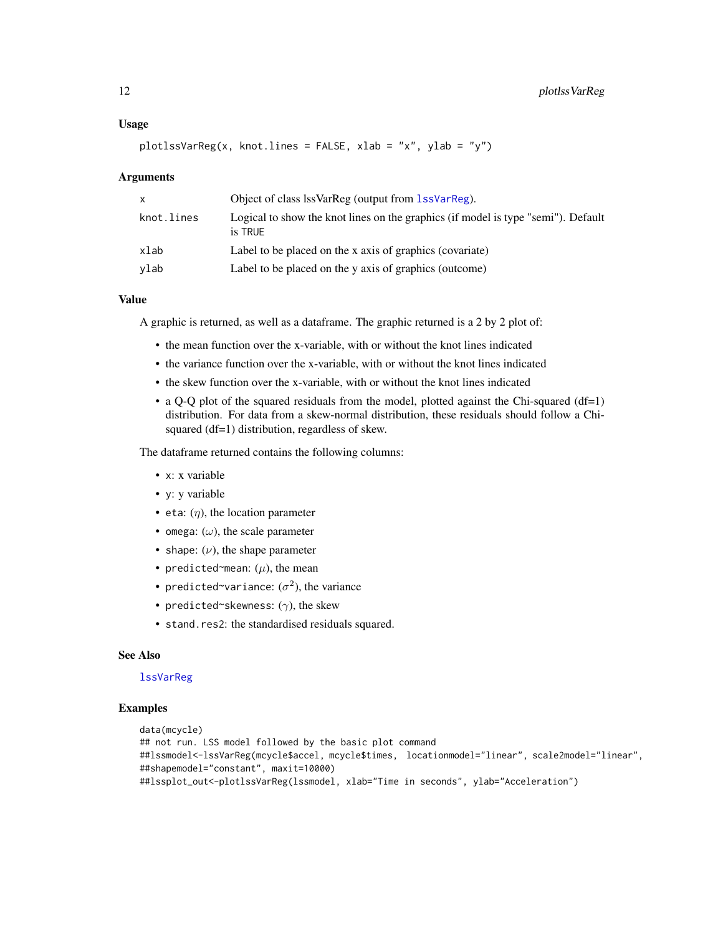# <span id="page-11-0"></span>Usage

plotlssVarReg(x, knot.lines = FALSE, xlab = "x", ylab = "y")

#### Arguments

| X          | Object of class lss VarReg (output from 1ss VarReg).                                         |
|------------|----------------------------------------------------------------------------------------------|
| knot.lines | Logical to show the knot lines on the graphics (if model is type "semi"). Default<br>is TRUE |
| xlab       | Label to be placed on the x axis of graphics (covariate)                                     |
| ylab       | Label to be placed on the y axis of graphics (outcome)                                       |

# Value

A graphic is returned, as well as a dataframe. The graphic returned is a 2 by 2 plot of:

- the mean function over the x-variable, with or without the knot lines indicated
- the variance function over the x-variable, with or without the knot lines indicated
- the skew function over the x-variable, with or without the knot lines indicated
- a Q-Q plot of the squared residuals from the model, plotted against the Chi-squared (df=1) distribution. For data from a skew-normal distribution, these residuals should follow a Chisquared (df=1) distribution, regardless of skew.

The dataframe returned contains the following columns:

- x: x variable
- y: y variable
- eta:  $(\eta)$ , the location parameter
- omega:  $(\omega)$ , the scale parameter
- shape:  $(\nu)$ , the shape parameter
- predicted~mean:  $(\mu)$ , the mean
- predicted~variance:  $(\sigma^2)$ , the variance
- predicted~skewness:  $(\gamma)$ , the skew
- stand.res2: the standardised residuals squared.

# See Also

# **[lssVarReg](#page-7-1)**

# **Examples**

```
data(mcycle)
## not run. LSS model followed by the basic plot command
##lssmodel<-lssVarReg(mcycle$accel, mcycle$times, locationmodel="linear", scale2model="linear",
##shapemodel="constant", maxit=10000)
##lssplot_out<-plotlssVarReg(lssmodel, xlab="Time in seconds", ylab="Acceleration")
```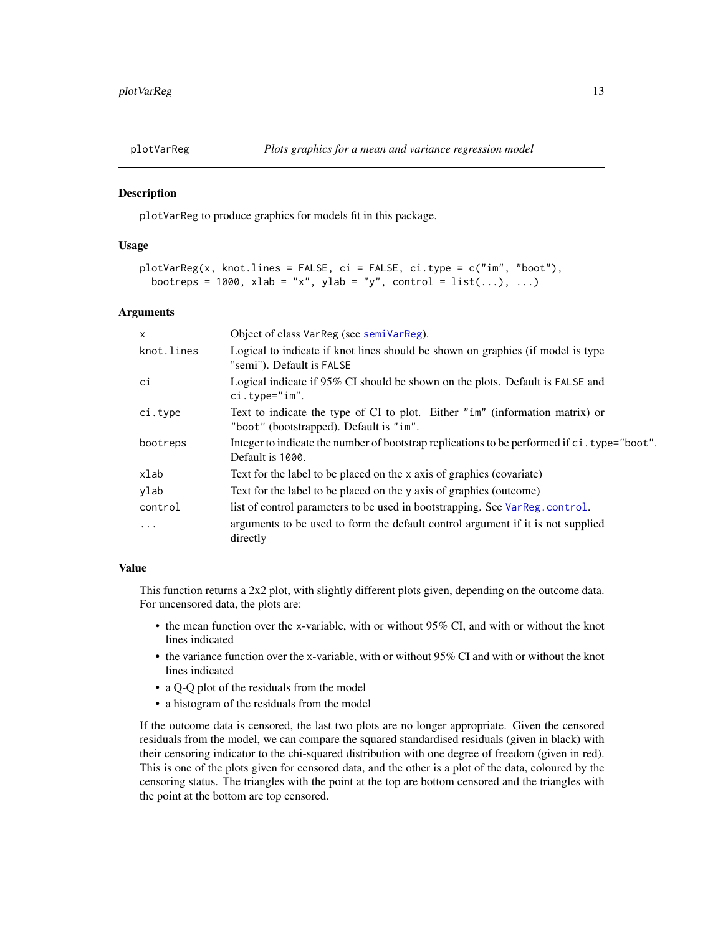<span id="page-12-1"></span><span id="page-12-0"></span>

# **Description**

plotVarReg to produce graphics for models fit in this package.

# Usage

```
plotVarReg(x, knot.lines = FALSE, ci = FALSE, ci.type = c("im", "boot"),
 bootreps = 1000, xlab = "x", ylab = "y", control = list(...), ...)
```
# Arguments

| $\mathsf{x}$ | Object of class VarReg (see semiVarReg).                                                                                |
|--------------|-------------------------------------------------------------------------------------------------------------------------|
| knot.lines   | Logical to indicate if knot lines should be shown on graphics (if model is type<br>"semi"). Default is FALSE            |
| сi           | Logical indicate if 95% CI should be shown on the plots. Default is FALSE and<br>$ci.type="im".$                        |
| ci.type      | Text to indicate the type of CI to plot. Either "im" (information matrix) or<br>"boot" (bootstrapped). Default is "im". |
| bootreps     | Integer to indicate the number of bootstrap replications to be performed if c i . type="boot".<br>Default is 1000.      |
| xlab         | Text for the label to be placed on the x axis of graphics (covariate)                                                   |
| ylab         | Text for the label to be placed on the y axis of graphics (outcome)                                                     |
| control      | list of control parameters to be used in bootstrapping. See VarReg.control.                                             |
| .            | arguments to be used to form the default control argument if it is not supplied<br>directly                             |

# Value

This function returns a 2x2 plot, with slightly different plots given, depending on the outcome data. For uncensored data, the plots are:

- the mean function over the x-variable, with or without 95% CI, and with or without the knot lines indicated
- the variance function over the x-variable, with or without 95% CI and with or without the knot lines indicated
- a Q-Q plot of the residuals from the model
- a histogram of the residuals from the model

If the outcome data is censored, the last two plots are no longer appropriate. Given the censored residuals from the model, we can compare the squared standardised residuals (given in black) with their censoring indicator to the chi-squared distribution with one degree of freedom (given in red). This is one of the plots given for censored data, and the other is a plot of the data, coloured by the censoring status. The triangles with the point at the top are bottom censored and the triangles with the point at the bottom are top censored.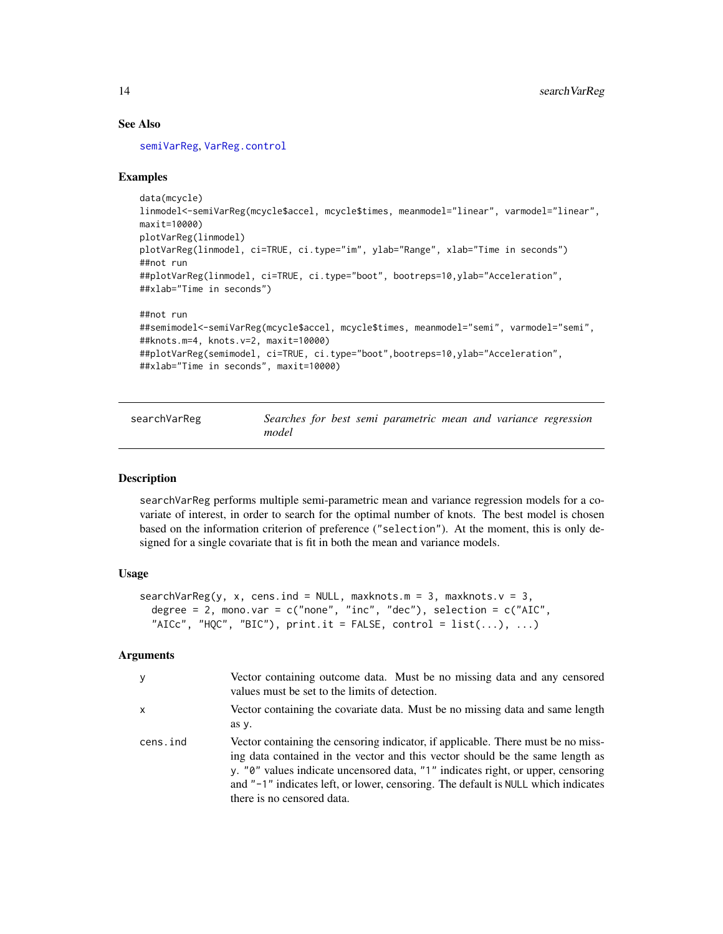# See Also

[semiVarReg](#page-15-1), [VarReg.control](#page-19-1)

# Examples

```
data(mcycle)
linmodel<-semiVarReg(mcycle$accel, mcycle$times, meanmodel="linear", varmodel="linear",
maxit=10000)
plotVarReg(linmodel)
plotVarReg(linmodel, ci=TRUE, ci.type="im", ylab="Range", xlab="Time in seconds")
##not run
##plotVarReg(linmodel, ci=TRUE, ci.type="boot", bootreps=10,ylab="Acceleration",
##xlab="Time in seconds")
##not run
##semimodel<-semiVarReg(mcycle$accel, mcycle$times, meanmodel="semi", varmodel="semi",
##knots.m=4, knots.v=2, maxit=10000)
##plotVarReg(semimodel, ci=TRUE, ci.type="boot",bootreps=10,ylab="Acceleration",
##xlab="Time in seconds", maxit=10000)
```
<span id="page-13-1"></span>searchVarReg *Searches for best semi parametric mean and variance regression model*

#### **Description**

searchVarReg performs multiple semi-parametric mean and variance regression models for a covariate of interest, in order to search for the optimal number of knots. The best model is chosen based on the information criterion of preference ("selection"). At the moment, this is only designed for a single covariate that is fit in both the mean and variance models.

# Usage

```
searchVarReg(y, x, cens.ind = NULL, maxknots.m = 3, maxknots.v = 3,
  degree = 2, mono.var = c("none", "inc", "dec"), selection = <math>c("AIC",</math>"AICc", "HQC", "BIC"), print.it = FALSE, control = list(...), ...
```

| у        | Vector containing outcome data. Must be no missing data and any censored<br>values must be set to the limits of detection.                                                                                                                                                                                                                                               |
|----------|--------------------------------------------------------------------------------------------------------------------------------------------------------------------------------------------------------------------------------------------------------------------------------------------------------------------------------------------------------------------------|
| x        | Vector containing the covariate data. Must be no missing data and same length<br>as y.                                                                                                                                                                                                                                                                                   |
| cens.ind | Vector containing the censoring indicator, if applicable. There must be no miss-<br>ing data contained in the vector and this vector should be the same length as<br>y. "0" values indicate uncensored data, "1" indicates right, or upper, censoring<br>and "-1" indicates left, or lower, censoring. The default is NULL which indicates<br>there is no censored data. |

<span id="page-13-0"></span>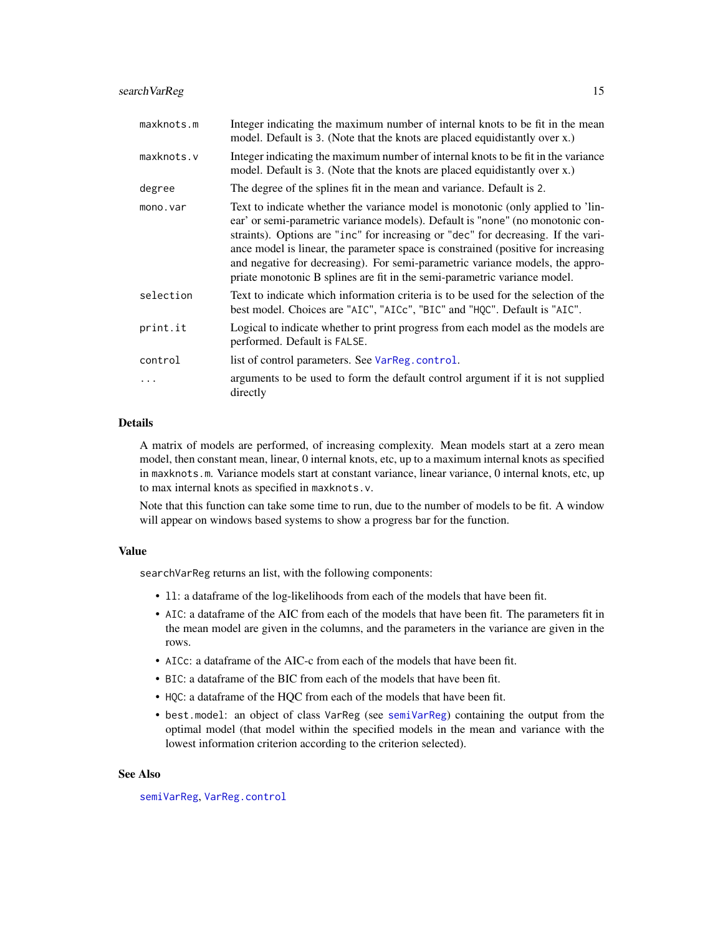<span id="page-14-0"></span>

| maxknots.m | Integer indicating the maximum number of internal knots to be fit in the mean<br>model. Default is 3. (Note that the knots are placed equidistantly over x.)                                                                                                                                                                                                                                                                                                                                              |
|------------|-----------------------------------------------------------------------------------------------------------------------------------------------------------------------------------------------------------------------------------------------------------------------------------------------------------------------------------------------------------------------------------------------------------------------------------------------------------------------------------------------------------|
| maxknots.v | Integer indicating the maximum number of internal knots to be fit in the variance<br>model. Default is 3. (Note that the knots are placed equidistantly over x.)                                                                                                                                                                                                                                                                                                                                          |
| degree     | The degree of the splines fit in the mean and variance. Default is 2.                                                                                                                                                                                                                                                                                                                                                                                                                                     |
| mono.var   | Text to indicate whether the variance model is monotonic (only applied to 'lin-<br>ear' or semi-parametric variance models). Default is "none" (no monotonic con-<br>straints). Options are "inc" for increasing or "dec" for decreasing. If the vari-<br>ance model is linear, the parameter space is constrained (positive for increasing<br>and negative for decreasing). For semi-parametric variance models, the appro-<br>priate monotonic B splines are fit in the semi-parametric variance model. |
| selection  | Text to indicate which information criteria is to be used for the selection of the<br>best model. Choices are "AIC", "AICc", "BIC" and "HQC". Default is "AIC".                                                                                                                                                                                                                                                                                                                                           |
| print.it   | Logical to indicate whether to print progress from each model as the models are<br>performed. Default is FALSE.                                                                                                                                                                                                                                                                                                                                                                                           |
| control    | list of control parameters. See VarReg.control.                                                                                                                                                                                                                                                                                                                                                                                                                                                           |
| .          | arguments to be used to form the default control argument if it is not supplied<br>directly                                                                                                                                                                                                                                                                                                                                                                                                               |

#### Details

A matrix of models are performed, of increasing complexity. Mean models start at a zero mean model, then constant mean, linear, 0 internal knots, etc, up to a maximum internal knots as specified in maxknots.m. Variance models start at constant variance, linear variance, 0 internal knots, etc, up to max internal knots as specified in maxknots.v.

Note that this function can take some time to run, due to the number of models to be fit. A window will appear on windows based systems to show a progress bar for the function.

#### Value

searchVarReg returns an list, with the following components:

- ll: a dataframe of the log-likelihoods from each of the models that have been fit.
- AIC: a dataframe of the AIC from each of the models that have been fit. The parameters fit in the mean model are given in the columns, and the parameters in the variance are given in the rows.
- AICc: a dataframe of the AIC-c from each of the models that have been fit.
- BIC: a dataframe of the BIC from each of the models that have been fit.
- HQC: a dataframe of the HQC from each of the models that have been fit.
- best.model: an object of class VarReg (see [semiVarReg](#page-15-1)) containing the output from the optimal model (that model within the specified models in the mean and variance with the lowest information criterion according to the criterion selected).

# See Also

[semiVarReg](#page-15-1), [VarReg.control](#page-19-1)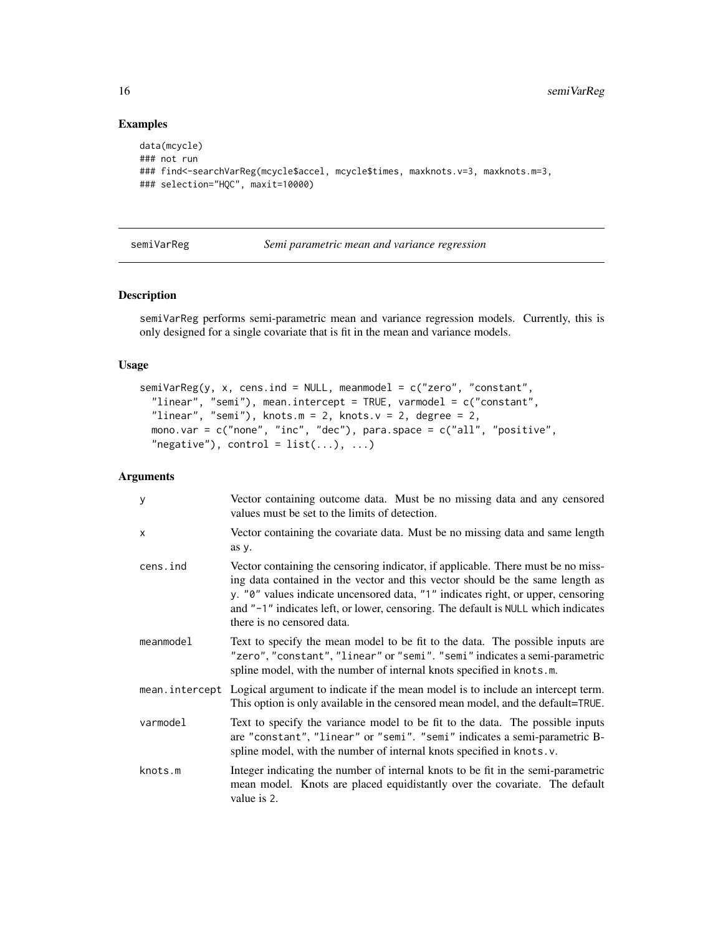# Examples

```
data(mcycle)
### not run
### find<-searchVarReg(mcycle$accel, mcycle$times, maxknots.v=3, maxknots.m=3,
### selection="HQC", maxit=10000)
```
#### semiVarReg *Semi parametric mean and variance regression*

# Description

semiVarReg performs semi-parametric mean and variance regression models. Currently, this is only designed for a single covariate that is fit in the mean and variance models.

# Usage

```
semiVarReg(y, x, cens.ind = NULL, meanmodel = c("zero", "constant",
  "linear", "semi"), mean.intercept = TRUE, varmodel = c("constant",
  "linear", "semi"), knots.m = 2, knots.v = 2, degree = 2,
 mono.var = c("none", "inc", "dec"), para.space = <math>c("all", "positive","negative"), control = list(...), ...)
```

| У         | Vector containing outcome data. Must be no missing data and any censored<br>values must be set to the limits of detection.                                                                                                                                                                                                                                               |
|-----------|--------------------------------------------------------------------------------------------------------------------------------------------------------------------------------------------------------------------------------------------------------------------------------------------------------------------------------------------------------------------------|
| X         | Vector containing the covariate data. Must be no missing data and same length<br>as y.                                                                                                                                                                                                                                                                                   |
| cens.ind  | Vector containing the censoring indicator, if applicable. There must be no miss-<br>ing data contained in the vector and this vector should be the same length as<br>y. "0" values indicate uncensored data, "1" indicates right, or upper, censoring<br>and "-1" indicates left, or lower, censoring. The default is NULL which indicates<br>there is no censored data. |
| meannode1 | Text to specify the mean model to be fit to the data. The possible inputs are<br>"zero", "constant", "linear" or "semi". "semi" indicates a semi-parametric<br>spline model, with the number of internal knots specified in knots.m.                                                                                                                                     |
|           | mean. intercept Logical argument to indicate if the mean model is to include an intercept term.<br>This option is only available in the censored mean model, and the default=TRUE.                                                                                                                                                                                       |
| varmodel  | Text to specify the variance model to be fit to the data. The possible inputs<br>are "constant", "linear" or "semi". "semi" indicates a semi-parametric B-<br>spline model, with the number of internal knots specified in knots. v.                                                                                                                                     |
| knots.m   | Integer indicating the number of internal knots to be fit in the semi-parametric<br>mean model. Knots are placed equidistantly over the covariate. The default<br>value is 2.                                                                                                                                                                                            |

<span id="page-15-0"></span>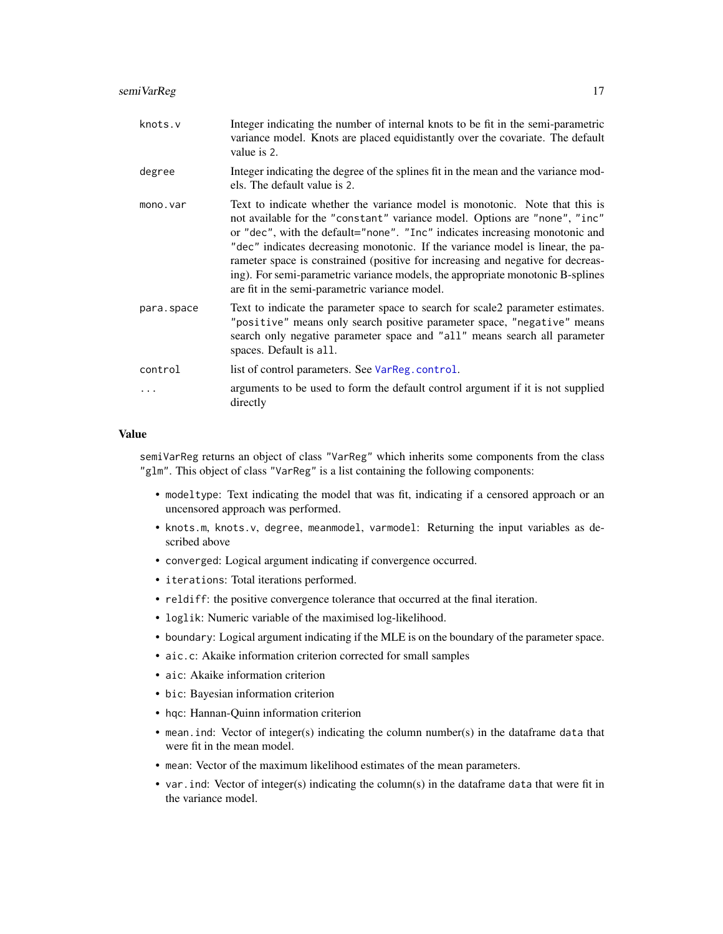<span id="page-16-0"></span>

| knots.v    | Integer indicating the number of internal knots to be fit in the semi-parametric<br>variance model. Knots are placed equidistantly over the covariate. The default<br>value is 2.                                                                                                                                                                                                                                                                                                                                                                 |
|------------|---------------------------------------------------------------------------------------------------------------------------------------------------------------------------------------------------------------------------------------------------------------------------------------------------------------------------------------------------------------------------------------------------------------------------------------------------------------------------------------------------------------------------------------------------|
| degree     | Integer indicating the degree of the splines fit in the mean and the variance mod-<br>els. The default value is 2.                                                                                                                                                                                                                                                                                                                                                                                                                                |
| mono.var   | Text to indicate whether the variance model is monotonic. Note that this is<br>not available for the "constant" variance model. Options are "none", "inc"<br>or "dec", with the default="none". "Inc" indicates increasing monotonic and<br>"dec" indicates decreasing monotonic. If the variance model is linear, the pa-<br>rameter space is constrained (positive for increasing and negative for decreas-<br>ing). For semi-parametric variance models, the appropriate monotonic B-splines<br>are fit in the semi-parametric variance model. |
| para.space | Text to indicate the parameter space to search for scale 2 parameter estimates.<br>"positive" means only search positive parameter space, "negative" means<br>search only negative parameter space and "all" means search all parameter<br>spaces. Default is all.                                                                                                                                                                                                                                                                                |
| control    | list of control parameters. See VarReg.control.                                                                                                                                                                                                                                                                                                                                                                                                                                                                                                   |
|            | arguments to be used to form the default control argument if it is not supplied<br>directly                                                                                                                                                                                                                                                                                                                                                                                                                                                       |

# Value

semiVarReg returns an object of class "VarReg" which inherits some components from the class "glm". This object of class "VarReg" is a list containing the following components:

- modeltype: Text indicating the model that was fit, indicating if a censored approach or an uncensored approach was performed.
- knots.m, knots.v, degree, meanmodel, varmodel: Returning the input variables as described above
- converged: Logical argument indicating if convergence occurred.
- iterations: Total iterations performed.
- reldiff: the positive convergence tolerance that occurred at the final iteration.
- loglik: Numeric variable of the maximised log-likelihood.
- boundary: Logical argument indicating if the MLE is on the boundary of the parameter space.
- aic.c: Akaike information criterion corrected for small samples
- aic: Akaike information criterion
- bic: Bayesian information criterion
- hqc: Hannan-Quinn information criterion
- mean.ind: Vector of integer(s) indicating the column number(s) in the dataframe data that were fit in the mean model.
- mean: Vector of the maximum likelihood estimates of the mean parameters.
- var.ind: Vector of integer(s) indicating the column(s) in the dataframe data that were fit in the variance model.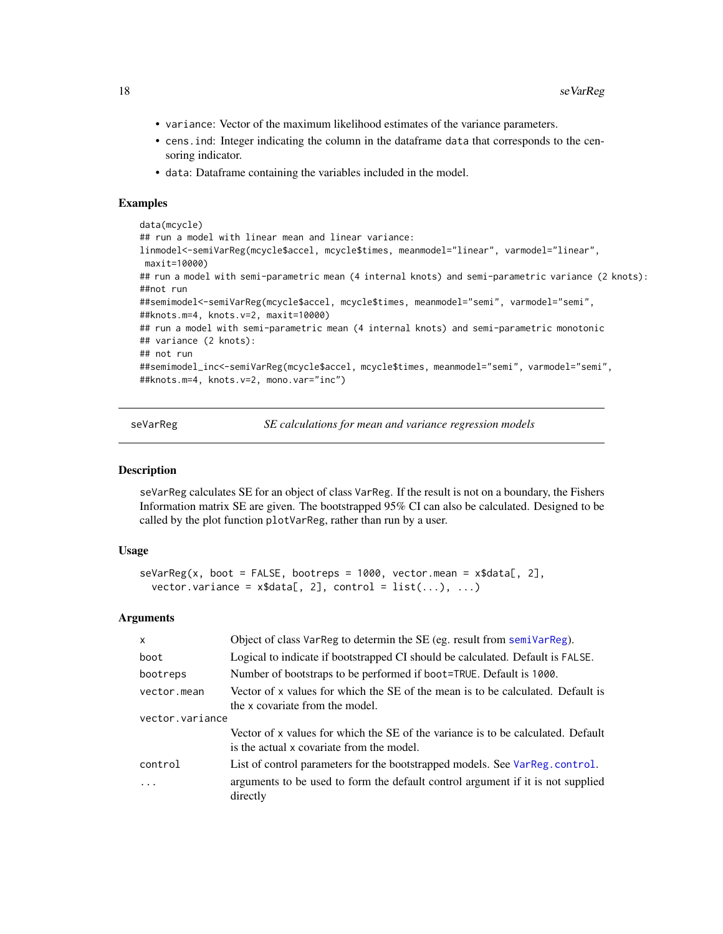- <span id="page-17-0"></span>• variance: Vector of the maximum likelihood estimates of the variance parameters.
- cens.ind: Integer indicating the column in the dataframe data that corresponds to the censoring indicator.
- data: Dataframe containing the variables included in the model.

#### Examples

```
data(mcycle)
## run a model with linear mean and linear variance:
linmodel<-semiVarReg(mcycle$accel, mcycle$times, meanmodel="linear", varmodel="linear",
maxit=10000)
## run a model with semi-parametric mean (4 internal knots) and semi-parametric variance (2 knots):
##not run
##semimodel<-semiVarReg(mcycle$accel, mcycle$times, meanmodel="semi", varmodel="semi",
##knots.m=4, knots.v=2, maxit=10000)
## run a model with semi-parametric mean (4 internal knots) and semi-parametric monotonic
## variance (2 knots):
## not run
##semimodel_inc<-semiVarReg(mcycle$accel, mcycle$times, meanmodel="semi", varmodel="semi",
##knots.m=4, knots.v=2, mono.var="inc")
```
seVarReg *SE calculations for mean and variance regression models*

# Description

seVarReg calculates SE for an object of class VarReg. If the result is not on a boundary, the Fishers Information matrix SE are given. The bootstrapped 95% CI can also be calculated. Designed to be called by the plot function plotVarReg, rather than run by a user.

# Usage

```
seVarReg(x, boot = FALSE, bootreps = 1000, vectormean = x$data[, 2],vector.variance = x$data[, 2], control = list(...), ...)
```

| $\mathsf{x}$    | Object of class VarReg to determin the SE (eg. result from semiVarReg).                                                       |
|-----------------|-------------------------------------------------------------------------------------------------------------------------------|
| boot            | Logical to indicate if bootstrapped CI should be calculated. Default is FALSE.                                                |
| bootreps        | Number of bootstraps to be performed if boot=TRUE. Default is 1000.                                                           |
| vector.mean     | Vector of x values for which the SE of the mean is to be calculated. Default is<br>the x covariate from the model.            |
| vector.variance |                                                                                                                               |
|                 | Vector of x values for which the SE of the variance is to be calculated. Default<br>is the actual x covariate from the model. |
| control         | List of control parameters for the bootstrapped models. See VarReg.control.                                                   |
| $\cdot$         | arguments to be used to form the default control argument if it is not supplied<br>directly                                   |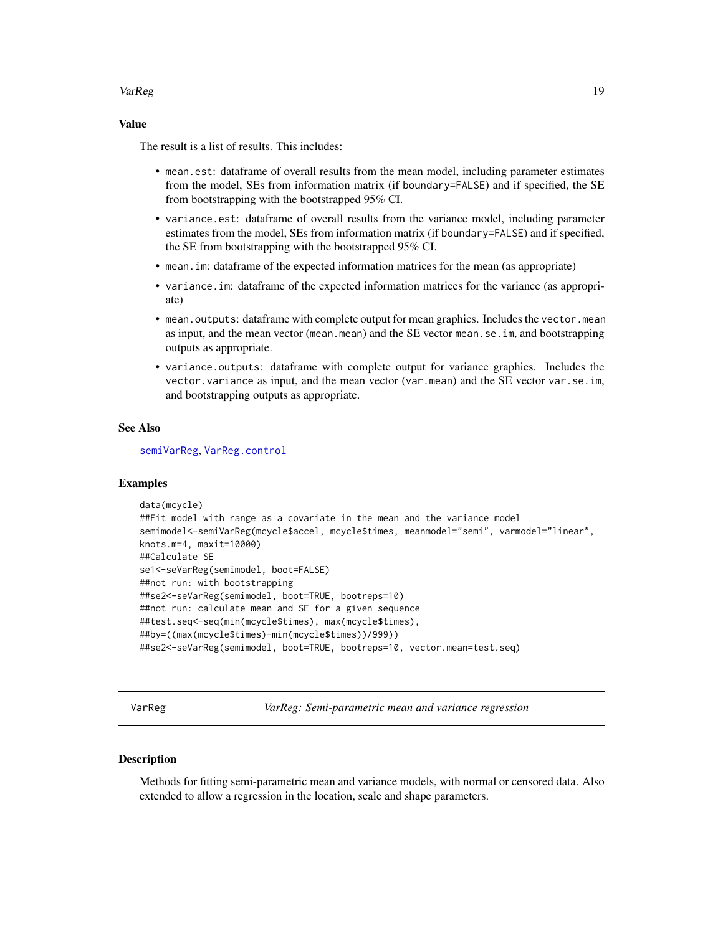# <span id="page-18-0"></span>VarReg 2008 and 2009 and 2009 and 2009 and 2009 and 2009 and 2009 and 2009 and 2009 and 2009 and 2009 and 2009 and 2009 and 2009 and 2009 and 2009 and 2009 and 2009 and 2009 and 2009 and 2009 and 2009 and 2009 and 2009 and

# Value

The result is a list of results. This includes:

- mean.est: dataframe of overall results from the mean model, including parameter estimates from the model, SEs from information matrix (if boundary=FALSE) and if specified, the SE from bootstrapping with the bootstrapped 95% CI.
- variance.est: dataframe of overall results from the variance model, including parameter estimates from the model, SEs from information matrix (if boundary=FALSE) and if specified, the SE from bootstrapping with the bootstrapped 95% CI.
- mean.im: dataframe of the expected information matrices for the mean (as appropriate)
- variance.im: dataframe of the expected information matrices for the variance (as appropriate)
- mean. outputs: dataframe with complete output for mean graphics. Includes the vector mean as input, and the mean vector (mean.mean) and the SE vector mean.se.im, and bootstrapping outputs as appropriate.
- variance.outputs: dataframe with complete output for variance graphics. Includes the vector.variance as input, and the mean vector (var.mean) and the SE vector var.se.im, and bootstrapping outputs as appropriate.

# See Also

[semiVarReg](#page-15-1), [VarReg.control](#page-19-1)

# Examples

```
data(mcycle)
##Fit model with range as a covariate in the mean and the variance model
semimodel<-semiVarReg(mcycle$accel, mcycle$times, meanmodel="semi", varmodel="linear",
knots.m=4, maxit=10000)
##Calculate SE
se1<-seVarReg(semimodel, boot=FALSE)
##not run: with bootstrapping
##se2<-seVarReg(semimodel, boot=TRUE, bootreps=10)
##not run: calculate mean and SE for a given sequence
##test.seq<-seq(min(mcycle$times), max(mcycle$times),
##by=((max(mcycle$times)-min(mcycle$times))/999))
##se2<-seVarReg(semimodel, boot=TRUE, bootreps=10, vector.mean=test.seq)
```
VarReg *VarReg: Semi-parametric mean and variance regression*

# Description

Methods for fitting semi-parametric mean and variance models, with normal or censored data. Also extended to allow a regression in the location, scale and shape parameters.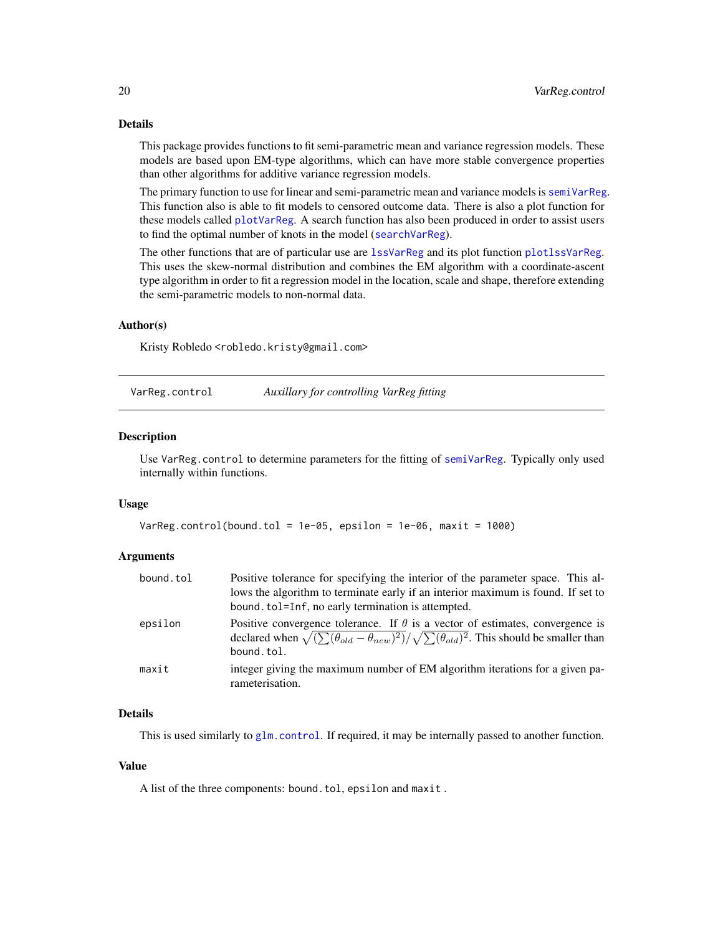# Details

This package provides functions to fit semi-parametric mean and variance regression models. These models are based upon EM-type algorithms, which can have more stable convergence properties than other algorithms for additive variance regression models.

The primary function to use for linear and semi-parametric mean and variance models is [semiVarReg](#page-15-1). This function also is able to fit models to censored outcome data. There is also a plot function for these models called [plotVarReg](#page-12-1). A search function has also been produced in order to assist users to find the optimal number of knots in the model ([searchVarReg](#page-13-1)).

The other functions that are of particular use are 1ssVarReg and its plot function plot1ssVarReg. This uses the skew-normal distribution and combines the EM algorithm with a coordinate-ascent type algorithm in order to fit a regression model in the location, scale and shape, therefore extending the semi-parametric models to non-normal data.

# Author(s)

Kristy Robledo <robledo.kristy@gmail.com>

<span id="page-19-1"></span>VarReg.control *Auxillary for controlling VarReg fitting*

# **Description**

Use VarReg.control to determine parameters for the fitting of [semiVarReg](#page-15-1). Typically only used internally within functions.

#### Usage

```
VarReg.control(bound.tol = 1e-05, epsilon = 1e-06, maxit = 1000)
```
# Arguments

| bound.tol | Positive tolerance for specifying the interior of the parameter space. This al-                                                                                                                                                           |
|-----------|-------------------------------------------------------------------------------------------------------------------------------------------------------------------------------------------------------------------------------------------|
|           | lows the algorithm to terminate early if an interior maximum is found. If set to                                                                                                                                                          |
|           | bound.tol=Inf, no early termination is attempted.                                                                                                                                                                                         |
| epsilon   | Positive convergence tolerance. If $\theta$ is a vector of estimates, convergence is<br>declared when $\sqrt{\left(\sum (\theta_{old} - \theta_{new})^2\right)/\sqrt{\sum (\theta_{old})^2}}$ . This should be smaller than<br>bound.tol. |
| maxit     | integer giving the maximum number of EM algorithm iterations for a given pa-<br>rameterisation.                                                                                                                                           |

# Details

This is used similarly to [glm.control](#page-0-0). If required, it may be internally passed to another function.

# Value

A list of the three components: bound.tol, epsilon and maxit.

<span id="page-19-0"></span>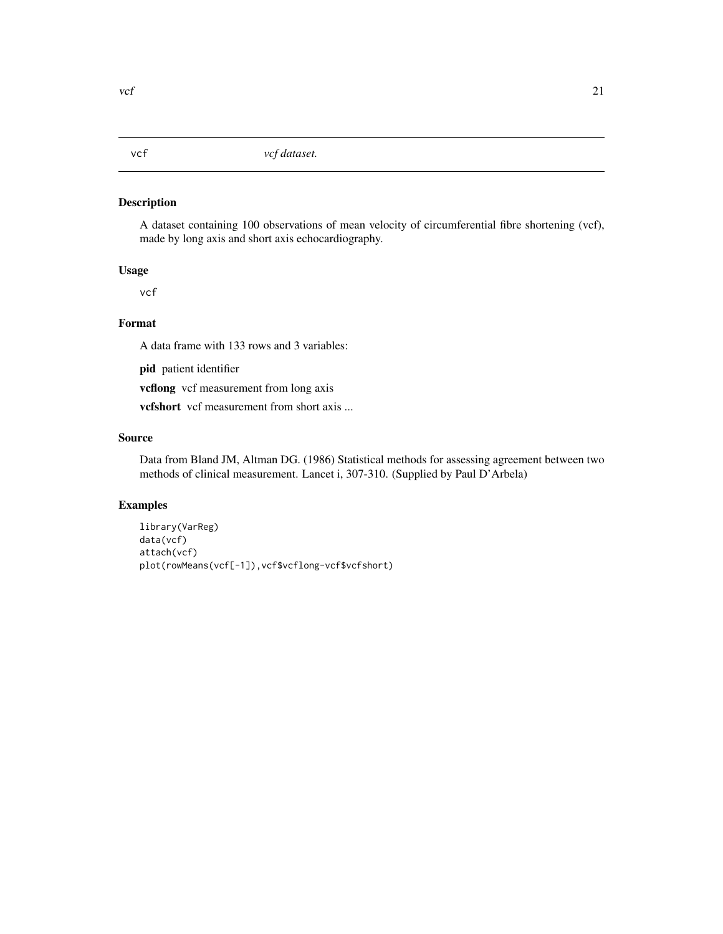# <span id="page-20-0"></span>Description

A dataset containing 100 observations of mean velocity of circumferential fibre shortening (vcf), made by long axis and short axis echocardiography.

# Usage

vcf

# Format

A data frame with 133 rows and 3 variables:

pid patient identifier

vcflong vcf measurement from long axis

vcfshort vcf measurement from short axis ...

# Source

Data from Bland JM, Altman DG. (1986) Statistical methods for assessing agreement between two methods of clinical measurement. Lancet i, 307-310. (Supplied by Paul D'Arbela)

# Examples

```
library(VarReg)
data(vcf)
attach(vcf)
plot(rowMeans(vcf[-1]),vcf$vcflong-vcf$vcfshort)
```